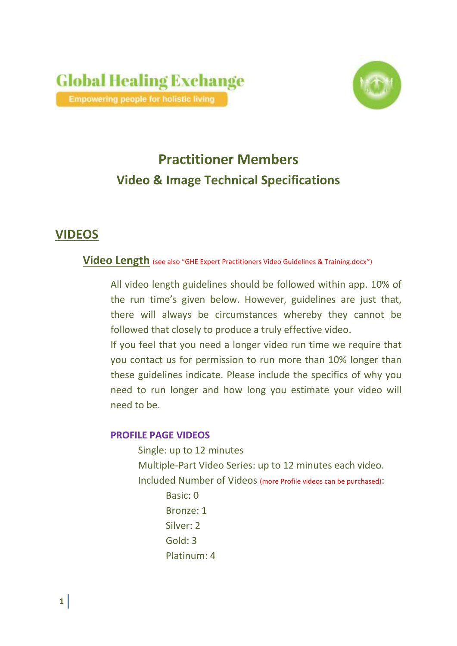

# **Practitioner Members Video & Image Technical Specifications**

# **VIDEOS**

## **Video Length** (see also "GHE Expert Practitioners Video Guidelines & Training.docx")

All video length guidelines should be followed within app. 10% of the run time's given below. However, guidelines are just that, there will always be circumstances whereby they cannot be followed that closely to produce a truly effective video.

If you feel that you need a longer video run time we require that you contact us for permission to run more than 10% longer than these guidelines indicate. Please include the specifics of why you need to run longer and how long you estimate your video will need to be.

### **PROFILE PAGE VIDEOS**

Single: up to 12 minutes Multiple-Part Video Series: up to 12 minutes each video.

Included Number of Videos (more Profile videos can be purchased):

Basic: 0 Bronze: 1 Silver: 2 Gold: 3 Platinum: 4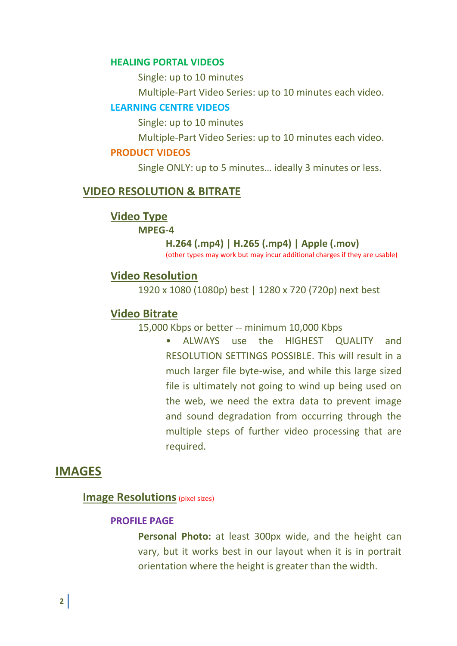#### **HEALING PORTAL VIDEOS**

Single: up to 10 minutes

Multiple-Part Video Series: up to 10 minutes each video.

#### **LEARNING CENTRE VIDEOS**

Single: up to 10 minutes

Multiple-Part Video Series: up to 10 minutes each video.

#### **PRODUCT VIDEOS**

Single ONLY: up to 5 minutes… ideally 3 minutes or less.

#### **VIDEO RESOLUTION & BITRATE**

**Video Type**

**MPEG-4**

#### **H.264 (.mp4) | H.265 (.mp4) | Apple (.mov)**

(other types may work but may incur additional charges if they are usable)

#### **Video Resolution**

1920 x 1080 (1080p) best | 1280 x 720 (720p) next best

#### **Video Bitrate**

15,000 Kbps or better -- minimum 10,000 Kbps

• ALWAYS use the HIGHEST QUALITY and RESOLUTION SETTINGS POSSIBLE. This will result in a much larger file byte-wise, and while this large sized file is ultimately not going to wind up being used on the web, we need the extra data to prevent image and sound degradation from occurring through the multiple steps of further video processing that are required.

# **IMAGES**

#### **Image Resolutions** (pixel sizes)

#### **PROFILE PAGE**

**Personal Photo:** at least 300px wide, and the height can vary, but it works best in our layout when it is in portrait orientation where the height is greater than the width.